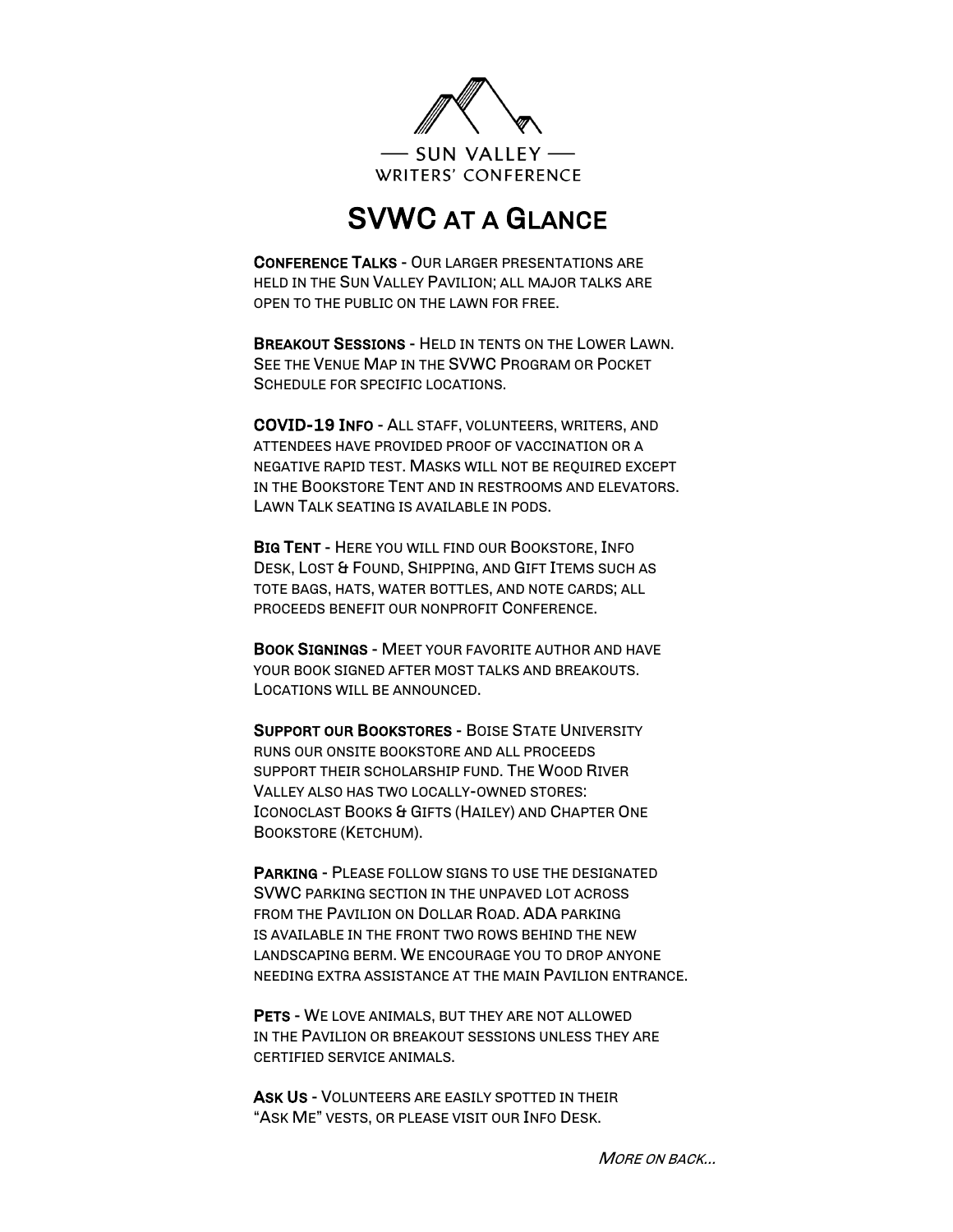

## SVWC AT A GLANCE

CONFERENCE TALKS - OUR LARGER PRESENTATIONS ARE HELD IN THE SUN VALLEY PAVILION; ALL MAJOR TALKS ARE OPEN TO THE PUBLIC ON THE LAWN FOR FREE.

BREAKOUT SESSIONS - HELD IN TENTS ON THE LOWER LAWN. SEE THE VENUE MAP IN THE SVWC PROGRAM OR POCKET SCHEDULE FOR SPECIFIC LOCATIONS.

COVID-19 INFO - ALL STAFF, VOLUNTEERS, WRITERS, AND ATTENDEES HAVE PROVIDED PROOF OF VACCINATION OR A NEGATIVE RAPID TEST. MASKS WILL NOT BE REQUIRED EXCEPT IN THE BOOKSTORE TENT AND IN RESTROOMS AND ELEVATORS. LAWN TALK SEATING IS AVAILABLE IN PODS.

BIG TENT - HERE YOU WILL FIND OUR BOOKSTORE, INFO DESK, LOST & FOUND, SHIPPING, AND GIFT ITEMS SUCH AS TOTE BAGS, HATS, WATER BOTTLES, AND NOTE CARDS; ALL PROCEEDS BENEFIT OUR NONPROFIT CONFERENCE.

BOOK SIGNINGS - MEET YOUR FAVORITE AUTHOR AND HAVE YOUR BOOK SIGNED AFTER MOST TALKS AND BREAKOUTS. LOCATIONS WILL BE ANNOUNCED.

SUPPORT OUR BOOKSTORES - BOISE STATE UNIVERSITY RUNS OUR ONSITE BOOKSTORE AND ALL PROCEEDS SUPPORT THEIR SCHOLARSHIP FUND. THE WOOD RIVER VALLEY ALSO HAS TWO LOCALLY-OWNED STORES: ICONOCLAST BOOKS & GIFTS (HAILEY) AND CHAPTER ONE BOOKSTORE (KETCHUM).

PARKING - PLEASE FOLLOW SIGNS TO USE THE DESIGNATED SVWC PARKING SECTION IN THE UNPAVED LOT ACROSS FROM THE PAVILION ON DOLLAR ROAD. ADA PARKING IS AVAILABLE IN THE FRONT TWO ROWS BEHIND THE NEW LANDSCAPING BERM. WE ENCOURAGE YOU TO DROP ANYONE NEEDING EXTRA ASSISTANCE AT THE MAIN PAVILION ENTRANCE.

PETS - WE LOVE ANIMALS, BUT THEY ARE NOT ALLOWED IN THE PAVILION OR BREAKOUT SESSIONS UNLESS THEY ARE CERTIFIED SERVICE ANIMALS.

ASK US - VOLUNTEERS ARE EASILY SPOTTED IN THEIR "ASK ME" VESTS, OR PLEASE VISIT OUR INFO DESK.